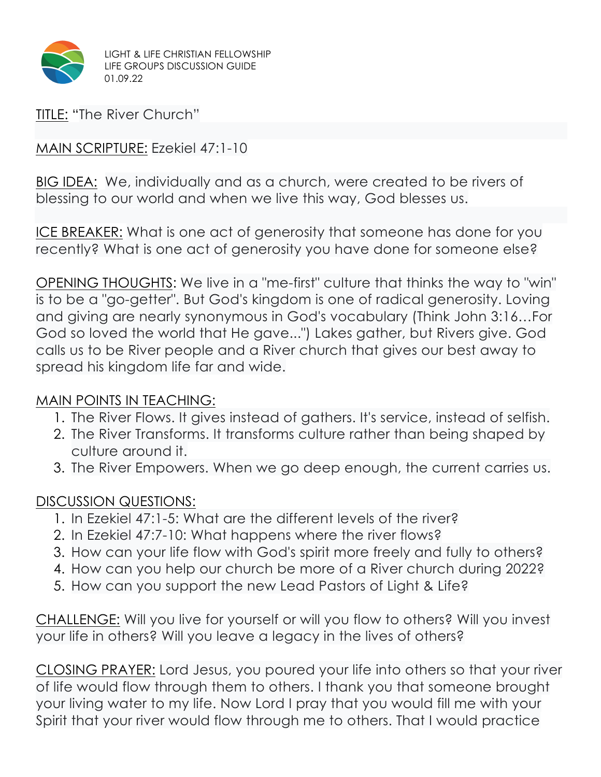

TITLE: "The River Church"

MAIN SCRIPTURE: Ezekiel 47:1-10

BIG IDEA: We, individually and as a church, were created to be rivers of blessing to our world and when we live this way, God blesses us.

ICE BREAKER: What is one act of generosity that someone has done for you recently? What is one act of generosity you have done for someone else?

OPENING THOUGHTS: We live in a "me-first" culture that thinks the way to "win" is to be a "go-getter". But God's kingdom is one of radical generosity. Loving and giving are nearly synonymous in God's vocabulary (Think John 3:16…For God so loved the world that He gave...") Lakes gather, but Rivers give. God calls us to be River people and a River church that gives our best away to spread his kingdom life far and wide.

## MAIN POINTS IN TEACHING:

- 1. The River Flows. It gives instead of gathers. It's service, instead of selfish.
- 2. The River Transforms. It transforms culture rather than being shaped by culture around it.
- 3. The River Empowers. When we go deep enough, the current carries us.

## DISCUSSION QUESTIONS:

- 1. In Ezekiel 47:1-5: What are the different levels of the river?
- 2. In Ezekiel 47:7-10: What happens where the river flows?
- 3. How can your life flow with God's spirit more freely and fully to others?
- 4. How can you help our church be more of a River church during 2022?
- 5. How can you support the new Lead Pastors of Light & Life?

CHALLENGE: Will you live for yourself or will you flow to others? Will you invest your life in others? Will you leave a legacy in the lives of others?

CLOSING PRAYER: Lord Jesus, you poured your life into others so that your river of life would flow through them to others. I thank you that someone brought your living water to my life. Now Lord I pray that you would fill me with your Spirit that your river would flow through me to others. That I would practice